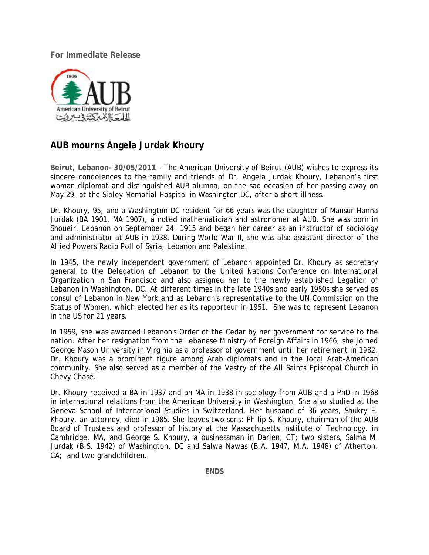**For Immediate Release** 



## **AUB mourns Angela Jurdak Khoury**

**Beirut, Lebanon- 30/05/2011** - The American University of Beirut (AUB) wishes to express its sincere condolences to the family and friends of Dr. Angela Jurdak Khoury, Lebanon's first woman diplomat and distinguished AUB alumna, on the sad occasion of her passing away on May 29, at the Sibley Memorial Hospital in Washington DC, after a short illness.

Dr. Khoury, 95, and a Washington DC resident for 66 years was the daughter of Mansur Hanna Jurdak (BA 1901, MA 1907), a noted mathematician and astronomer at AUB. She was born in Shoueir, Lebanon on September 24, 1915 and began her career as an instructor of sociology and administrator at AUB in 1938. During World War II, she was also assistant director of the Allied Powers Radio Poll of Syria, Lebanon and Palestine.

In 1945, the newly independent government of Lebanon appointed Dr. Khoury as secretary general to the Delegation of Lebanon to the United Nations Conference on International Organization in San Francisco and also assigned her to the newly established Legation of Lebanon in Washington, DC. At different times in the late 1940s and early 1950s she served as consul of Lebanon in New York and as Lebanon's representative to the UN Commission on the Status of Women, which elected her as its rapporteur in 1951. She was to represent Lebanon in the US for 21 years.

In 1959, she was awarded Lebanon's Order of the Cedar by her government for service to the nation. After her resignation from the Lebanese Ministry of Foreign Affairs in 1966, she joined George Mason University in Virginia as a professor of government until her retirement in 1982. Dr. Khoury was a prominent figure among Arab diplomats and in the local Arab-American community. She also served as a member of the Vestry of the All Saints Episcopal Church in Chevy Chase.

Dr. Khoury received a BA in 1937 and an MA in 1938 in sociology from AUB and a PhD in 1968 in international relations from the American University in Washington. She also studied at the Geneva School of International Studies in Switzerland. Her husband of 36 years, Shukry E. Khoury, an attorney, died in 1985. She leaves two sons: Philip S. Khoury, chairman of the AUB Board of Trustees and professor of history at the Massachusetts Institute of Technology, in Cambridge, MA, and George S. Khoury, a businessman in Darien, CT; two sisters, Salma M. Jurdak (B.S. 1942) of Washington, DC and Salwa Nawas (B.A. 1947, M.A. 1948) of Atherton, CA; and two grandchildren.